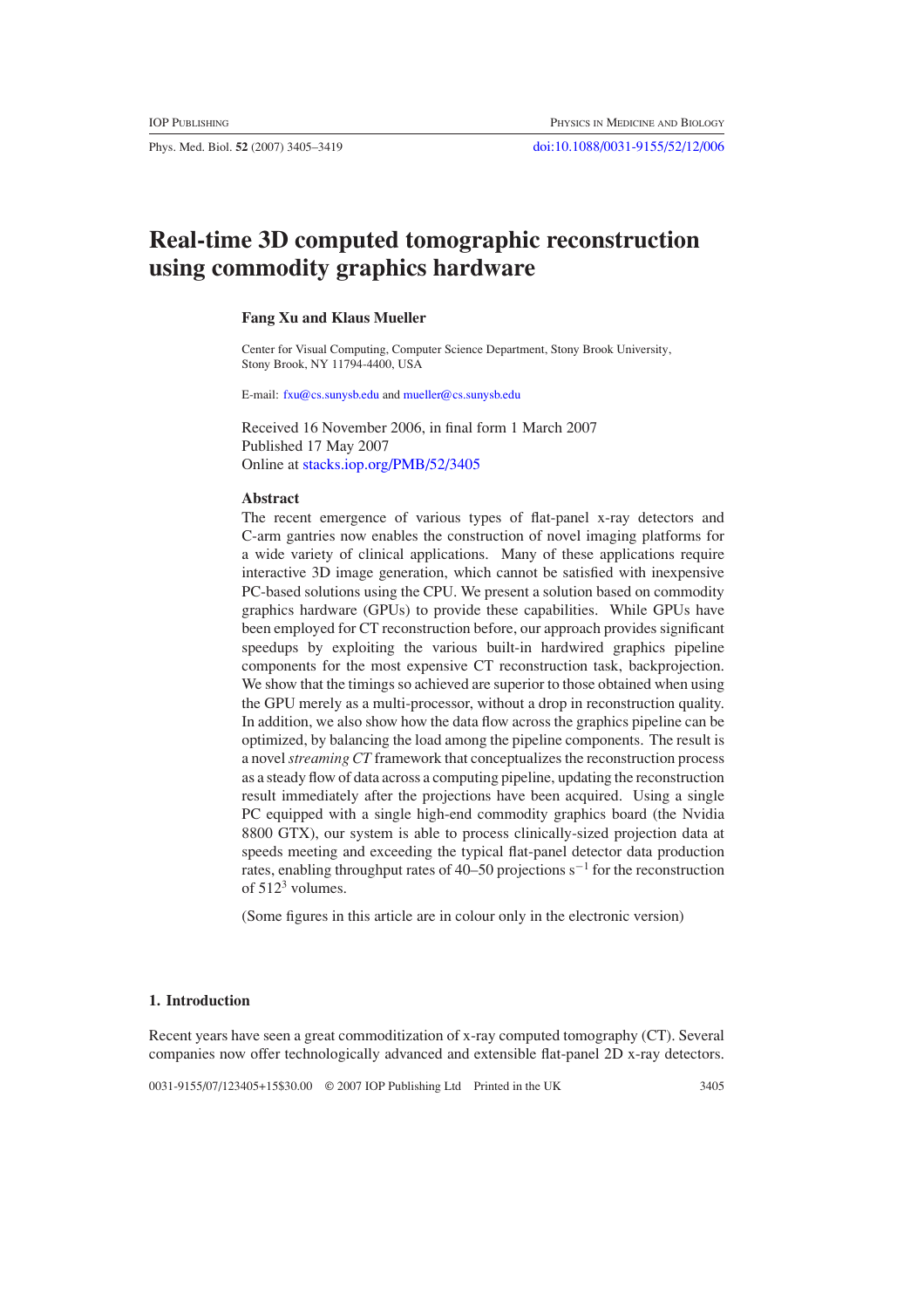<span id="page-0-0"></span>Phys. Med. Biol. **52** (2007) 3405–3419 [doi:10.1088/0031-9155/52/12/006](http://dx.doi.org/10.1088/0031-9155/52/12/006)

# **Real-time 3D computed tomographic reconstruction using commodity graphics hardware**

#### **Fang Xu and Klaus Mueller**

Center for Visual Computing, Computer Science Department, Stony Brook University, Stony Brook, NY 11794-4400, USA

E-mail: [fxu@cs.sunysb.edu](mailto:fxu@cs.sunysb.edu) and [mueller@cs.sunysb.edu](mailto:mueller@cs.sunysb.edu)

Received 16 November 2006, in final form 1 March 2007 Published 17 May 2007 Online at [stacks.iop.org/PMB/52/3405](http://stacks.iop.org/PMB/52/3405)

## **Abstract**

The recent emergence of various types of flat-panel x-ray detectors and C-arm gantries now enables the construction of novel imaging platforms for a wide variety of clinical applications. Many of these applications require interactive 3D image generation, which cannot be satisfied with inexpensive PC-based solutions using the CPU. We present a solution based on commodity graphics hardware (GPUs) to provide these capabilities. While GPUs have been employed for CT reconstruction before, our approach provides significant speedups by exploiting the various built-in hardwired graphics pipeline components for the most expensive CT reconstruction task, backprojection. We show that the timings so achieved are superior to those obtained when using the GPU merely as a multi-processor, without a drop in reconstruction quality. In addition, we also show how the data flow across the graphics pipeline can be optimized, by balancing the load among the pipeline components. The result is a novel*streaming CT* framework that conceptualizes the reconstruction process as a steady flow of data across a computing pipeline, updating the reconstruction result immediately after the projections have been acquired. Using a single PC equipped with a single high-end commodity graphics board (the Nvidia 8800 GTX), our system is able to process clinically-sized projection data at speeds meeting and exceeding the typical flat-panel detector data production rates, enabling throughput rates of 40–50 projections  $s^{-1}$  for the reconstruction of  $512^3$  volumes.

(Some figures in this article are in colour only in the electronic version)

## **1. Introduction**

Recent years have seen a great commoditization of x-ray computed tomography (CT). Several companies now offer technologically advanced and extensible flat-panel 2D x-ray detectors.

0031-9155/07/123405+15\$30.00 © 2007 IOP Publishing Ltd Printed in the UK 3405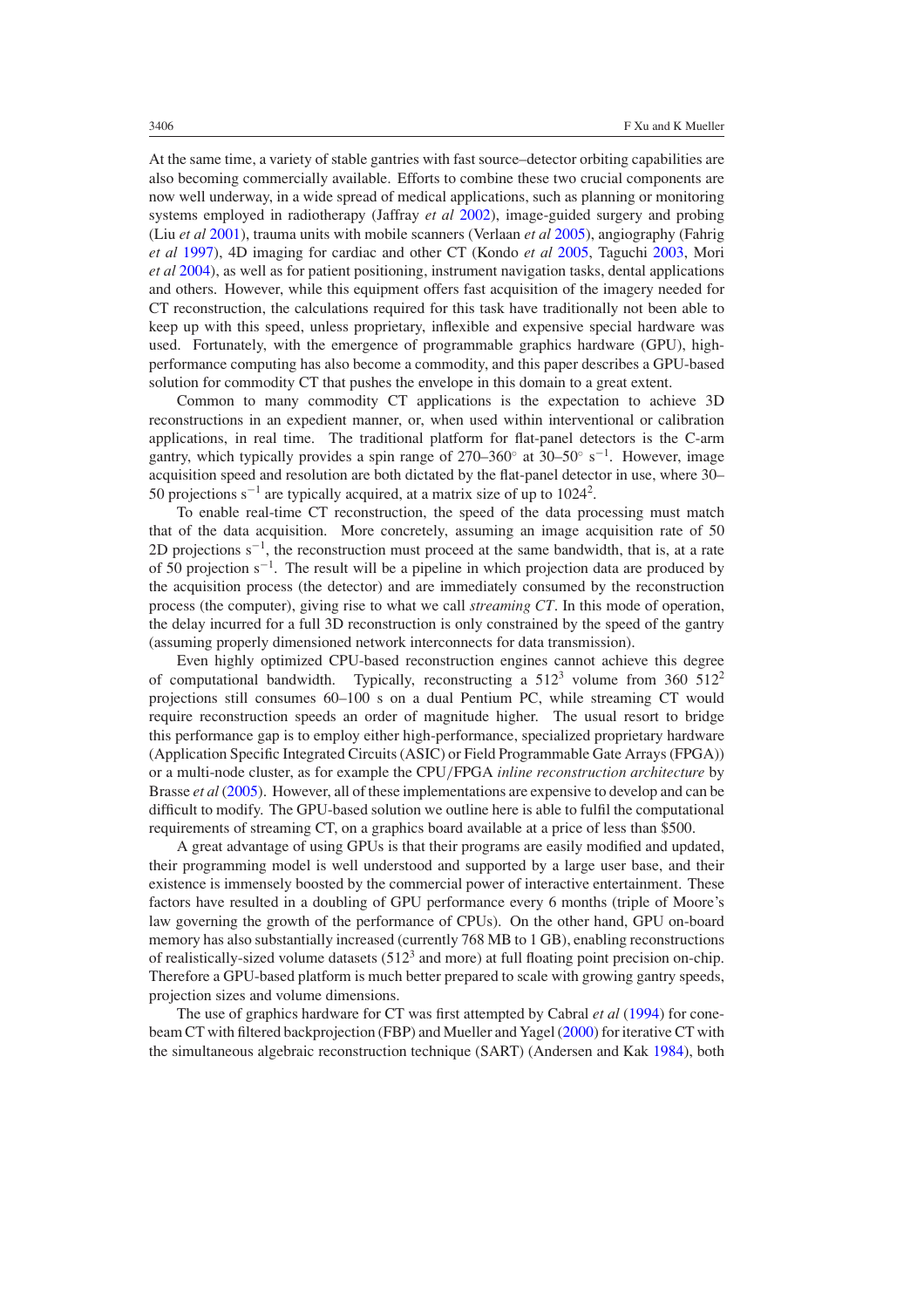At the same time, a variety of stable gantries with fast source–detector orbiting capabilities are also becoming commercially available. Efforts to combine these two crucial components are now well underway, in a wide spread of medical applications, such as planning or monitoring systems employed in radiotherapy (Jaffray *et al* [2002\)](#page-13-0), image-guided surgery and probing (Liu *et al* [2001\)](#page-13-0), trauma units with mobile scanners (Verlaan *et al* [2005](#page-14-0)), angiography (Fahrig *et al* [1997\)](#page-13-0), 4D imaging for cardiac and other CT (Kondo *et al* [2005](#page-13-0), Taguchi [2003](#page-14-0), Mori *et al* [2004\)](#page-13-0), as well as for patient positioning, instrument navigation tasks, dental applications and others. However, while this equipment offers fast acquisition of the imagery needed for CT reconstruction, the calculations required for this task have traditionally not been able to keep up with this speed, unless proprietary, inflexible and expensive special hardware was used. Fortunately, with the emergence of programmable graphics hardware (GPU), highperformance computing has also become a commodity, and this paper describes a GPU-based solution for commodity CT that pushes the envelope in this domain to a great extent.

Common to many commodity CT applications is the expectation to achieve 3D reconstructions in an expedient manner, or, when used within interventional or calibration applications, in real time. The traditional platform for flat-panel detectors is the C-arm gantry, which typically provides a spin range of 270–360 $\degree$  at 30–50 $\degree$  s<sup>-1</sup>. However, image acquisition speed and resolution are both dictated by the flat-panel detector in use, where 30– 50 projections  $s^{-1}$  are typically acquired, at a matrix size of up to 1024<sup>2</sup>.

To enable real-time CT reconstruction, the speed of the data processing must match that of the data acquisition. More concretely, assuming an image acquisition rate of 50 2D projections s<sup>-1</sup>, the reconstruction must proceed at the same bandwidth, that is, at a rate of 50 projection s<sup>-1</sup>. The result will be a pipeline in which projection data are produced by the acquisition process (the detector) and are immediately consumed by the reconstruction process (the computer), giving rise to what we call *streaming CT*. In this mode of operation, the delay incurred for a full 3D reconstruction is only constrained by the speed of the gantry (assuming properly dimensioned network interconnects for data transmission).

Even highly optimized CPU-based reconstruction engines cannot achieve this degree of computational bandwidth. Typically, reconstructing a  $512<sup>3</sup>$  volume from 360  $512<sup>2</sup>$ projections still consumes 60–100 s on a dual Pentium PC, while streaming CT would require reconstruction speeds an order of magnitude higher. The usual resort to bridge this performance gap is to employ either high-performance, specialized proprietary hardware (Application Specific Integrated Circuits (ASIC) or Field Programmable Gate Arrays (FPGA)) or a multi-node cluster, as for example the CPU*/*FPGA *inline reconstruction architecture* by Brasse *et al* [\(2005](#page-13-0)). However, all of these implementations are expensive to develop and can be difficult to modify. The GPU-based solution we outline here is able to fulfil the computational requirements of streaming CT, on a graphics board available at a price of less than \$500.

A great advantage of using GPUs is that their programs are easily modified and updated, their programming model is well understood and supported by a large user base, and their existence is immensely boosted by the commercial power of interactive entertainment. These factors have resulted in a doubling of GPU performance every 6 months (triple of Moore's law governing the growth of the performance of CPUs). On the other hand, GPU on-board memory has also substantially increased (currently 768 MB to 1 GB), enabling reconstructions of realistically-sized volume datasets  $(512<sup>3</sup>$  and more) at full floating point precision on-chip. Therefore a GPU-based platform is much better prepared to scale with growing gantry speeds, projection sizes and volume dimensions.

The use of graphics hardware for CT was first attempted by Cabral *et al* [\(1994\)](#page-13-0) for conebeam CT with filtered backprojection (FBP) and Mueller and Yagel [\(2000](#page-14-0)) for iterative CT with the simultaneous algebraic reconstruction technique (SART) (Andersen and Kak [1984](#page-13-0)), both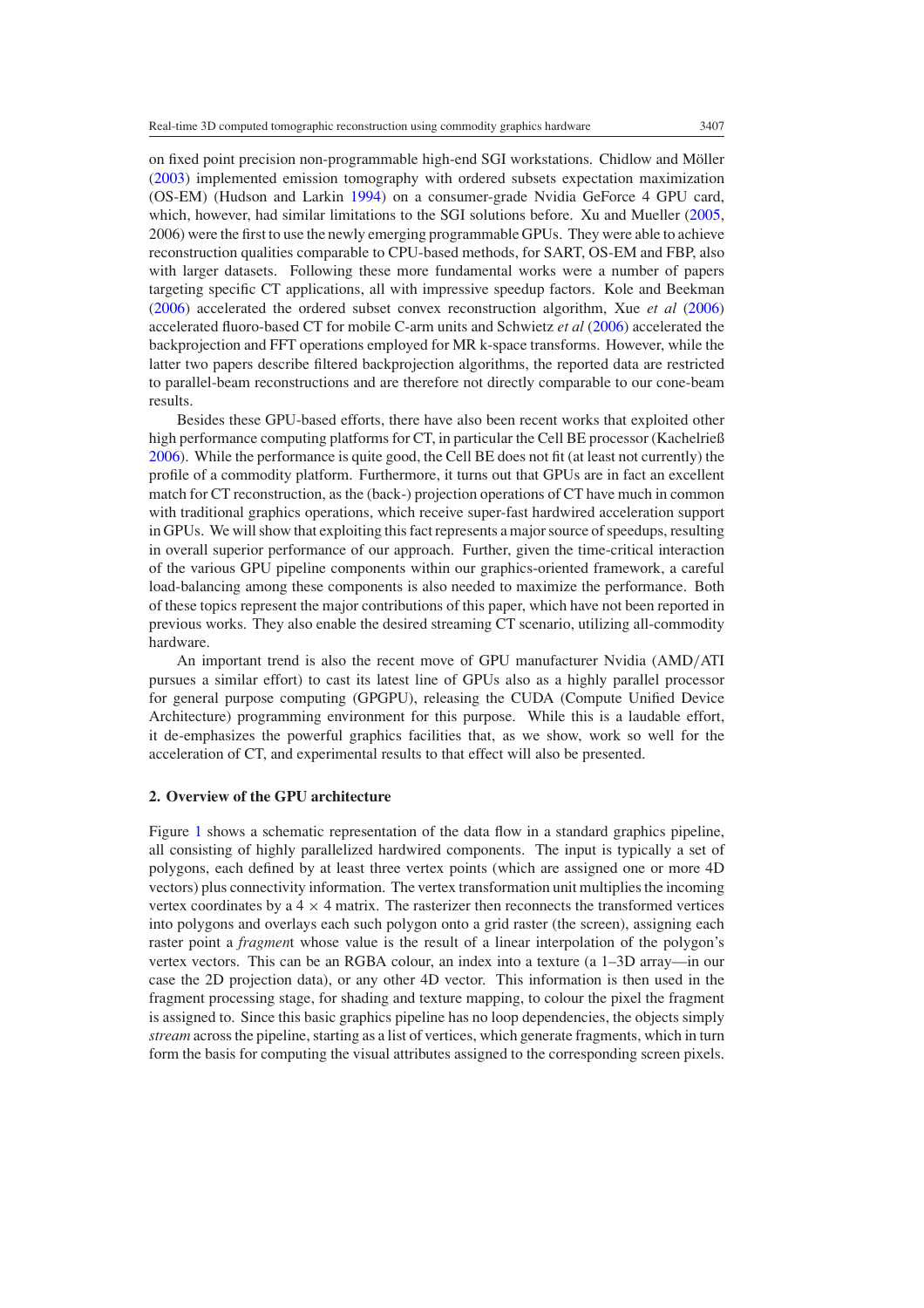on fixed point precision non-programmable high-end SGI workstations. Chidlow and Möller [\(2003](#page-13-0)) implemented emission tomography with ordered subsets expectation maximization (OS-EM) (Hudson and Larkin [1994\)](#page-13-0) on a consumer-grade Nvidia GeForce 4 GPU card, which, however, had similar limitations to the SGI solutions before. Xu and Mueller [\(2005](#page-14-0), 2006) were the first to use the newly emerging programmable GPUs. They were able to achieve reconstruction qualities comparable to CPU-based methods, for SART, OS-EM and FBP, also with larger datasets. Following these more fundamental works were a number of papers targeting specific CT applications, all with impressive speedup factors. Kole and Beekman [\(2006](#page-13-0)) accelerated the ordered subset convex reconstruction algorithm, Xue *et al* [\(2006](#page-14-0)) accelerated fluoro-based CT for mobile C-arm units and Schwietz *et al* [\(2006\)](#page-14-0) accelerated the backprojection and FFT operations employed for MR k-space transforms. However, while the latter two papers describe filtered backprojection algorithms, the reported data are restricted to parallel-beam reconstructions and are therefore not directly comparable to our cone-beam results.

Besides these GPU-based efforts, there have also been recent works that exploited other high performance computing platforms for CT, in particular the Cell BE processor (Kachelrieß [2006\)](#page-13-0). While the performance is quite good, the Cell BE does not fit (at least not currently) the profile of a commodity platform. Furthermore, it turns out that GPUs are in fact an excellent match for CT reconstruction, as the (back-) projection operations of CT have much in common with traditional graphics operations, which receive super-fast hardwired acceleration support in GPUs. We will show that exploiting this fact represents a major source of speedups, resulting in overall superior performance of our approach. Further, given the time-critical interaction of the various GPU pipeline components within our graphics-oriented framework, a careful load-balancing among these components is also needed to maximize the performance. Both of these topics represent the major contributions of this paper, which have not been reported in previous works. They also enable the desired streaming CT scenario, utilizing all-commodity hardware.

An important trend is also the recent move of GPU manufacturer Nvidia (AMD*/*ATI pursues a similar effort) to cast its latest line of GPUs also as a highly parallel processor for general purpose computing (GPGPU), releasing the CUDA (Compute Unified Device Architecture) programming environment for this purpose. While this is a laudable effort, it de-emphasizes the powerful graphics facilities that, as we show, work so well for the acceleration of CT, and experimental results to that effect will also be presented.

## **2. Overview of the GPU architecture**

Figure [1](#page-3-0) shows a schematic representation of the data flow in a standard graphics pipeline, all consisting of highly parallelized hardwired components. The input is typically a set of polygons, each defined by at least three vertex points (which are assigned one or more 4D vectors) plus connectivity information. The vertex transformation unit multiplies the incoming vertex coordinates by a  $4 \times 4$  matrix. The rasterizer then reconnects the transformed vertices into polygons and overlays each such polygon onto a grid raster (the screen), assigning each raster point a *fragmen*t whose value is the result of a linear interpolation of the polygon's vertex vectors. This can be an RGBA colour, an index into a texture (a 1–3D array—in our case the 2D projection data), or any other 4D vector. This information is then used in the fragment processing stage, for shading and texture mapping, to colour the pixel the fragment is assigned to. Since this basic graphics pipeline has no loop dependencies, the objects simply *stream* across the pipeline, starting as a list of vertices, which generate fragments, which in turn form the basis for computing the visual attributes assigned to the corresponding screen pixels.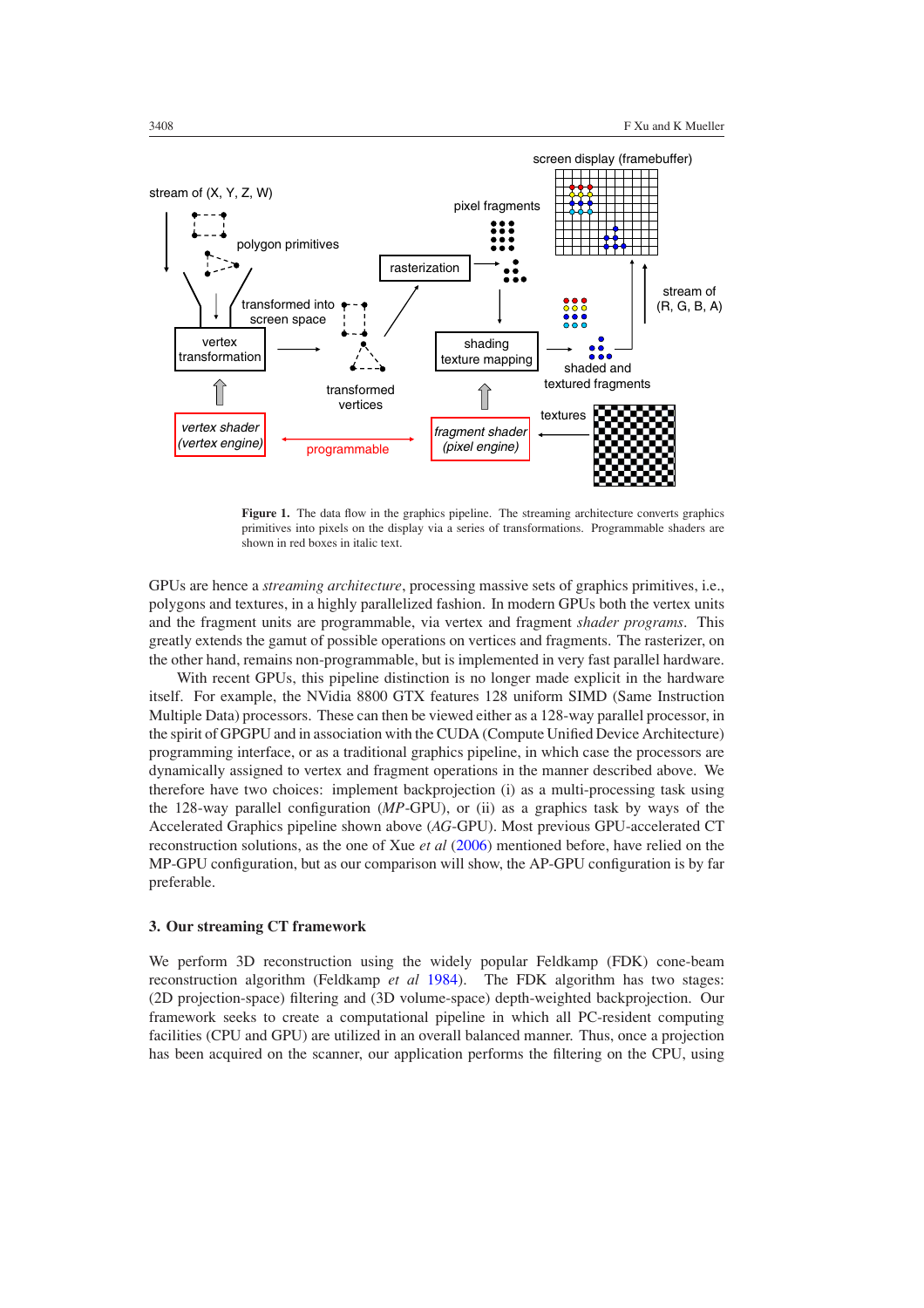<span id="page-3-0"></span>

**Figure 1.** The data flow in the graphics pipeline. The streaming architecture converts graphics primitives into pixels on the display via a series of transformations. Programmable shaders are shown in red boxes in italic text.

GPUs are hence a *streaming architecture*, processing massive sets of graphics primitives, i.e., polygons and textures, in a highly parallelized fashion. In modern GPUs both the vertex units and the fragment units are programmable, via vertex and fragment *shader programs*. This greatly extends the gamut of possible operations on vertices and fragments. The rasterizer, on the other hand, remains non-programmable, but is implemented in very fast parallel hardware.

With recent GPUs, this pipeline distinction is no longer made explicit in the hardware itself. For example, the NVidia 8800 GTX features 128 uniform SIMD (Same Instruction Multiple Data) processors. These can then be viewed either as a 128-way parallel processor, in the spirit of GPGPU and in association with the CUDA (Compute Unified Device Architecture) programming interface, or as a traditional graphics pipeline, in which case the processors are dynamically assigned to vertex and fragment operations in the manner described above. We therefore have two choices: implement backprojection (i) as a multi-processing task using the 128-way parallel configuration (*MP*-GPU), or (ii) as a graphics task by ways of the Accelerated Graphics pipeline shown above (*AG*-GPU). Most previous GPU-accelerated CT reconstruction solutions, as the one of Xue *et al* [\(2006\)](#page-14-0) mentioned before, have relied on the MP-GPU configuration, but as our comparison will show, the AP-GPU configuration is by far preferable.

## **3. Our streaming CT framework**

We perform 3D reconstruction using the widely popular Feldkamp (FDK) cone-beam reconstruction algorithm (Feldkamp *et al* [1984\)](#page-13-0). The FDK algorithm has two stages: (2D projection-space) filtering and (3D volume-space) depth-weighted backprojection. Our framework seeks to create a computational pipeline in which all PC-resident computing facilities (CPU and GPU) are utilized in an overall balanced manner. Thus, once a projection has been acquired on the scanner, our application performs the filtering on the CPU, using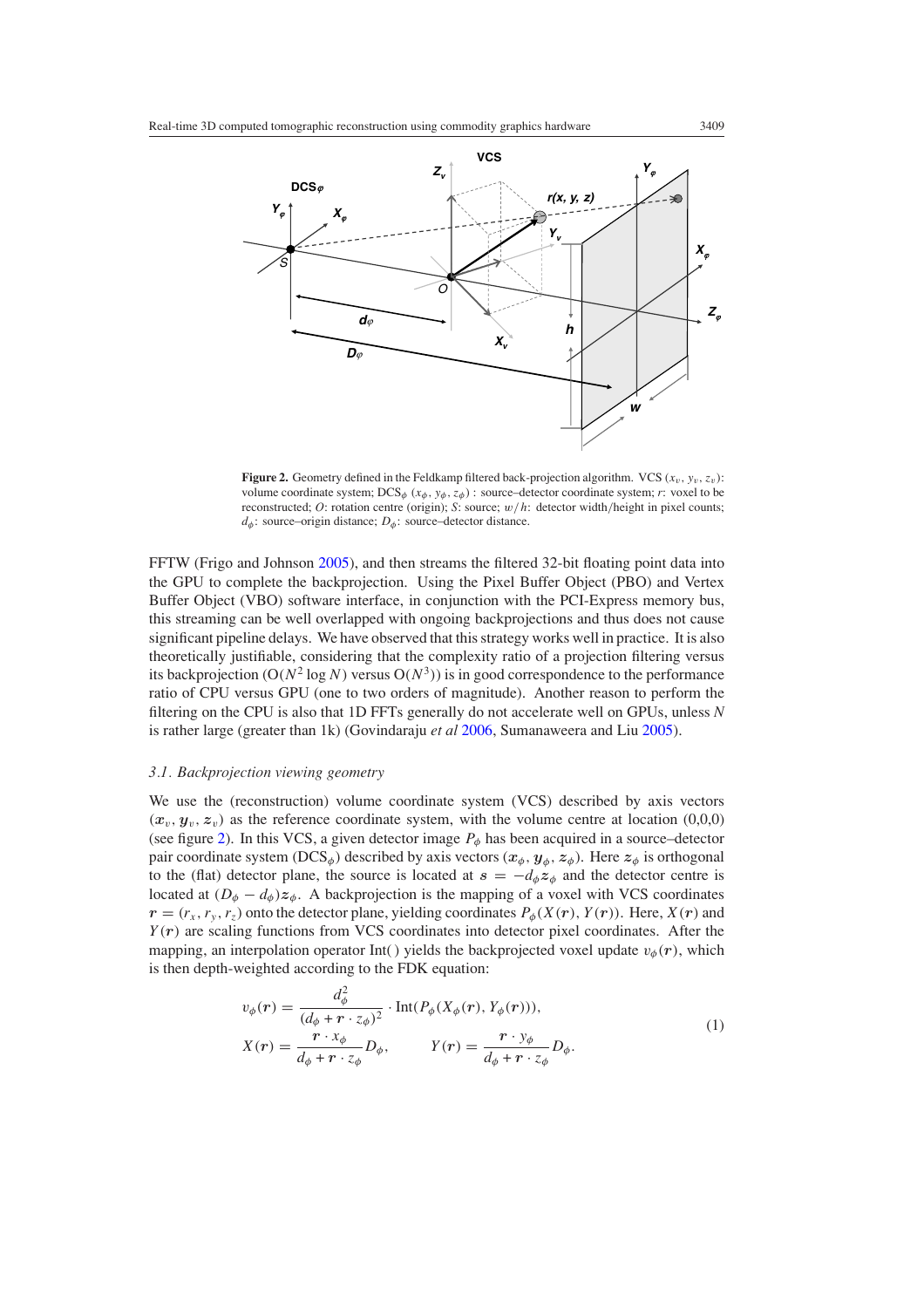<span id="page-4-0"></span>

**Figure 2.** Geometry defined in the Feldkamp filtered back-projection algorithm. VCS  $(x_v, y_v, z_v)$ : volume coordinate system; DCS<sub>*φ*</sub>  $(x_\phi, y_\phi, z_\phi)$ : source–detector coordinate system; *r*: voxel to be reconstructed; *O*: rotation centre (origin); *S*: source; *w/h*: detector width*/*height in pixel counts; *dφ*: source–origin distance; *Dφ*: source–detector distance.

FFTW (Frigo and Johnson [2005\)](#page-13-0), and then streams the filtered 32-bit floating point data into the GPU to complete the backprojection. Using the Pixel Buffer Object (PBO) and Vertex Buffer Object (VBO) software interface, in conjunction with the PCI-Express memory bus, this streaming can be well overlapped with ongoing backprojections and thus does not cause significant pipeline delays. We have observed that this strategy works well in practice. It is also theoretically justifiable, considering that the complexity ratio of a projection filtering versus its backprojection  $(O(N^2 \log N)$  versus  $O(N^3))$  is in good correspondence to the performance ratio of CPU versus GPU (one to two orders of magnitude). Another reason to perform the filtering on the CPU is also that 1D FFTs generally do not accelerate well on GPUs, unless *N* is rather large (greater than 1k) (Govindaraju *et al* [2006](#page-13-0), Sumanaweera and Liu [2005\)](#page-14-0).

# *3.1. Backprojection viewing geometry*

We use the (reconstruction) volume coordinate system (VCS) described by axis vectors  $(\mathbf{x}_v, \mathbf{y}_v, \mathbf{z}_v)$  as the reference coordinate system, with the volume centre at location (0,0,0) (see figure 2). In this VCS, a given detector image  $P_{\phi}$  has been acquired in a source–detector pair coordinate system *(DCS<sub>φ</sub>)* described by axis vectors  $(x_{\phi}, y_{\phi}, z_{\phi})$ . Here  $z_{\phi}$  is orthogonal to the (flat) detector plane, the source is located at  $s = -d_{\phi}z_{\phi}$  and the detector centre is located at  $(D_{\phi} - d_{\phi})z_{\phi}$ . A backprojection is the mapping of a voxel with VCS coordinates  $r = (r_x, r_y, r_z)$  onto the detector plane, yielding coordinates  $P_{\phi}(X(r), Y(r))$ . Here,  $X(r)$  and  $Y(r)$  are scaling functions from VCS coordinates into detector pixel coordinates. After the mapping, an interpolation operator Int() yields the backprojected voxel update  $v_{\phi}(r)$ , which is then depth-weighted according to the FDK equation:

$$
v_{\phi}(r) = \frac{d_{\phi}^{2}}{(d_{\phi} + r \cdot z_{\phi})^{2}} \cdot Int(P_{\phi}(X_{\phi}(r), Y_{\phi}(r))),
$$
  
\n
$$
X(r) = \frac{r \cdot x_{\phi}}{d_{\phi} + r \cdot z_{\phi}} D_{\phi}, \qquad Y(r) = \frac{r \cdot y_{\phi}}{d_{\phi} + r \cdot z_{\phi}} D_{\phi}.
$$
\n(1)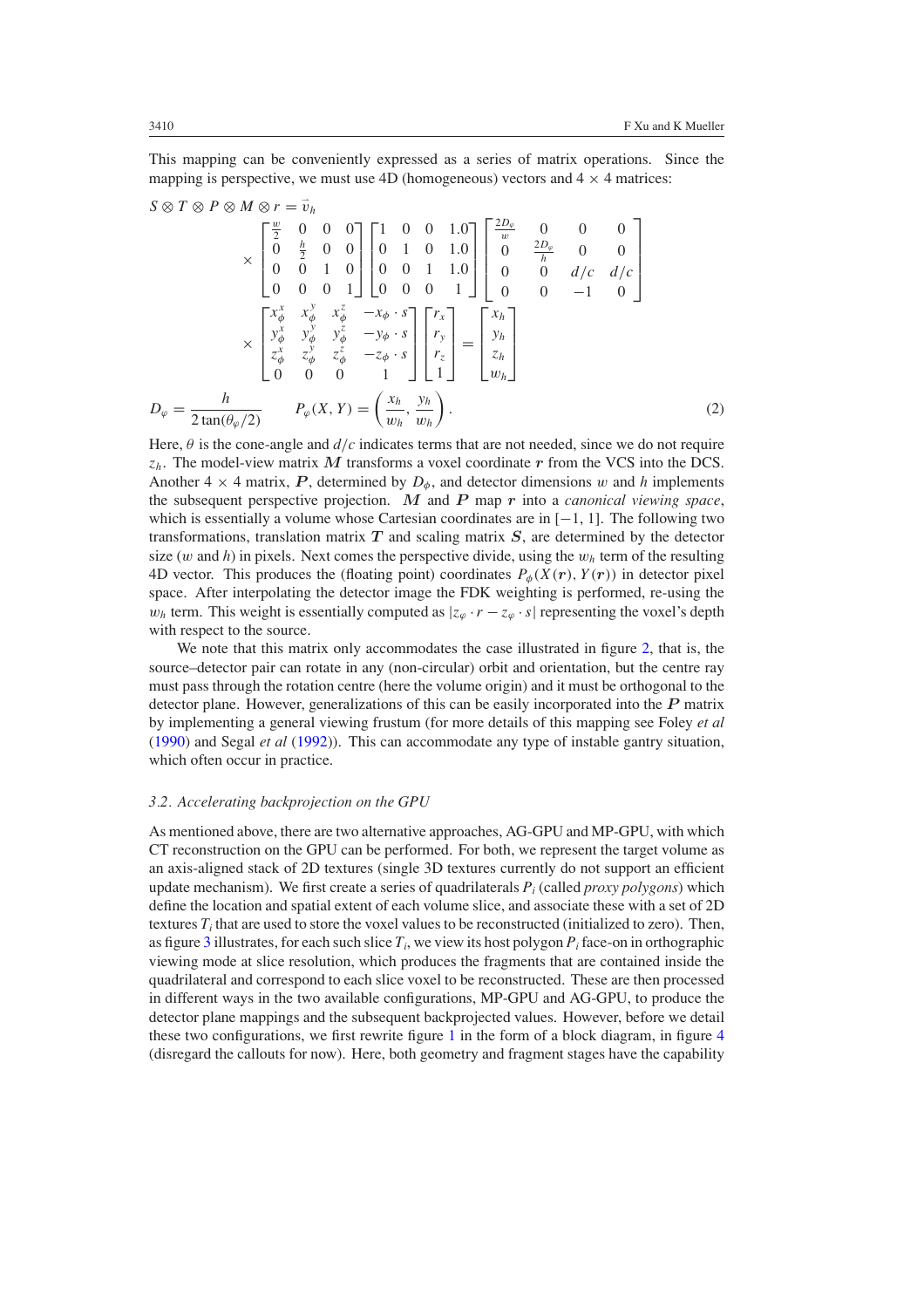<span id="page-5-0"></span>This mapping can be conveniently expressed as a series of matrix operations. Since the mapping is perspective, we must use 4D (homogeneous) vectors and  $4 \times 4$  matrices:

$$
S \otimes T \otimes P \otimes M \otimes r = \vec{v}_h
$$
  
\n
$$
\times \begin{bmatrix} \frac{w}{2} & 0 & 0 & 0 \\ 0 & \frac{h}{2} & 0 & 0 \\ 0 & 0 & 1 & 0 \\ 0 & 0 & 0 & 1 \end{bmatrix} \begin{bmatrix} 1 & 0 & 0 & 1.0 \\ 0 & 1 & 0 & 1.0 \\ 0 & 0 & 1 & 1.0 \\ 0 & 0 & 0 & 1 \end{bmatrix} \begin{bmatrix} \frac{2D_{\varphi}}{w} & 0 & 0 & 0 \\ 0 & \frac{2D_{\varphi}}{h} & 0 & 0 \\ 0 & 0 & d/c & d/c \\ 0 & 0 & -1 & 0 \end{bmatrix}
$$
  
\n
$$
\times \begin{bmatrix} x_{\varphi}^x & x_{\varphi}^y & x_{\varphi}^z & -x_{\varphi} \cdot s \\ y_{\varphi}^x & y_{\varphi}^y & y_{\varphi}^z & -y_{\varphi} \cdot s \\ z_{\varphi}^x & z_{\varphi}^y & z_{\varphi}^z & -z_{\varphi} \cdot s \\ 0 & 0 & 0 & 1 \end{bmatrix} \begin{bmatrix} r_x \\ r_y \\ r_z \\ r_z \\ r_z \\ r_z \end{bmatrix} = \begin{bmatrix} x_h \\ y_h \\ z_h \\ z_h \\ w_h \end{bmatrix}
$$
  
\n
$$
D_{\varphi} = \frac{h}{2 \tan(\theta_{\varphi}/2)} \qquad P_{\varphi}(X, Y) = \left( \frac{x_h}{w_h}, \frac{y_h}{w_h} \right).
$$
 (2)

Here,  $\theta$  is the cone-angle and  $d/c$  indicates terms that are not needed, since we do not require *zh*. The model-view matrix *M* transforms a voxel coordinate *r* from the VCS into the DCS. Another  $4 \times 4$  matrix, *P*, determined by  $D_{\phi}$ , and detector dimensions *w* and *h* implements the subsequent perspective projection. *M* and *P* map *r* into a *canonical viewing space*, which is essentially a volume whose Cartesian coordinates are in [−1, 1]. The following two transformations, translation matrix *T* and scaling matrix *S*, are determined by the detector size (*w* and *h*) in pixels. Next comes the perspective divide, using the  $w_h$  term of the resulting 4D vector. This produces the (floating point) coordinates  $P_{\phi}(X(r), Y(r))$  in detector pixel space. After interpolating the detector image the FDK weighting is performed, re-using the *w<sub>h</sub>* term. This weight is essentially computed as  $|z_{\varphi} \cdot r - z_{\varphi} \cdot s|$  representing the voxel's depth with respect to the source.

We note that this matrix only accommodates the case illustrated in figure [2,](#page-4-0) that is, the source–detector pair can rotate in any (non-circular) orbit and orientation, but the centre ray must pass through the rotation centre (here the volume origin) and it must be orthogonal to the detector plane. However, generalizations of this can be easily incorporated into the *P* matrix by implementing a general viewing frustum (for more details of this mapping see Foley *et al* [\(1990](#page-13-0)) and Segal *et al* [\(1992\)](#page-14-0)). This can accommodate any type of instable gantry situation, which often occur in practice.

## *3.2. Accelerating backprojection on the GPU*

As mentioned above, there are two alternative approaches, AG-GPU and MP-GPU, with which CT reconstruction on the GPU can be performed. For both, we represent the target volume as an axis-aligned stack of 2D textures (single 3D textures currently do not support an efficient update mechanism). We first create a series of quadrilaterals *Pi* (called *proxy polygons*) which define the location and spatial extent of each volume slice, and associate these with a set of 2D textures  $T_i$  that are used to store the voxel values to be reconstructed (initialized to zero). Then, as figure [3](#page-6-0) illustrates, for each such slice  $T_i$ , we view its host polygon  $P_i$  face-on in orthographic viewing mode at slice resolution, which produces the fragments that are contained inside the quadrilateral and correspond to each slice voxel to be reconstructed. These are then processed in different ways in the two available configurations, MP-GPU and AG-GPU, to produce the detector plane mappings and the subsequent backprojected values. However, before we detail these two configurations, we first rewrite figure [1](#page-3-0) in the form of a block diagram, in figure [4](#page-6-0) (disregard the callouts for now). Here, both geometry and fragment stages have the capability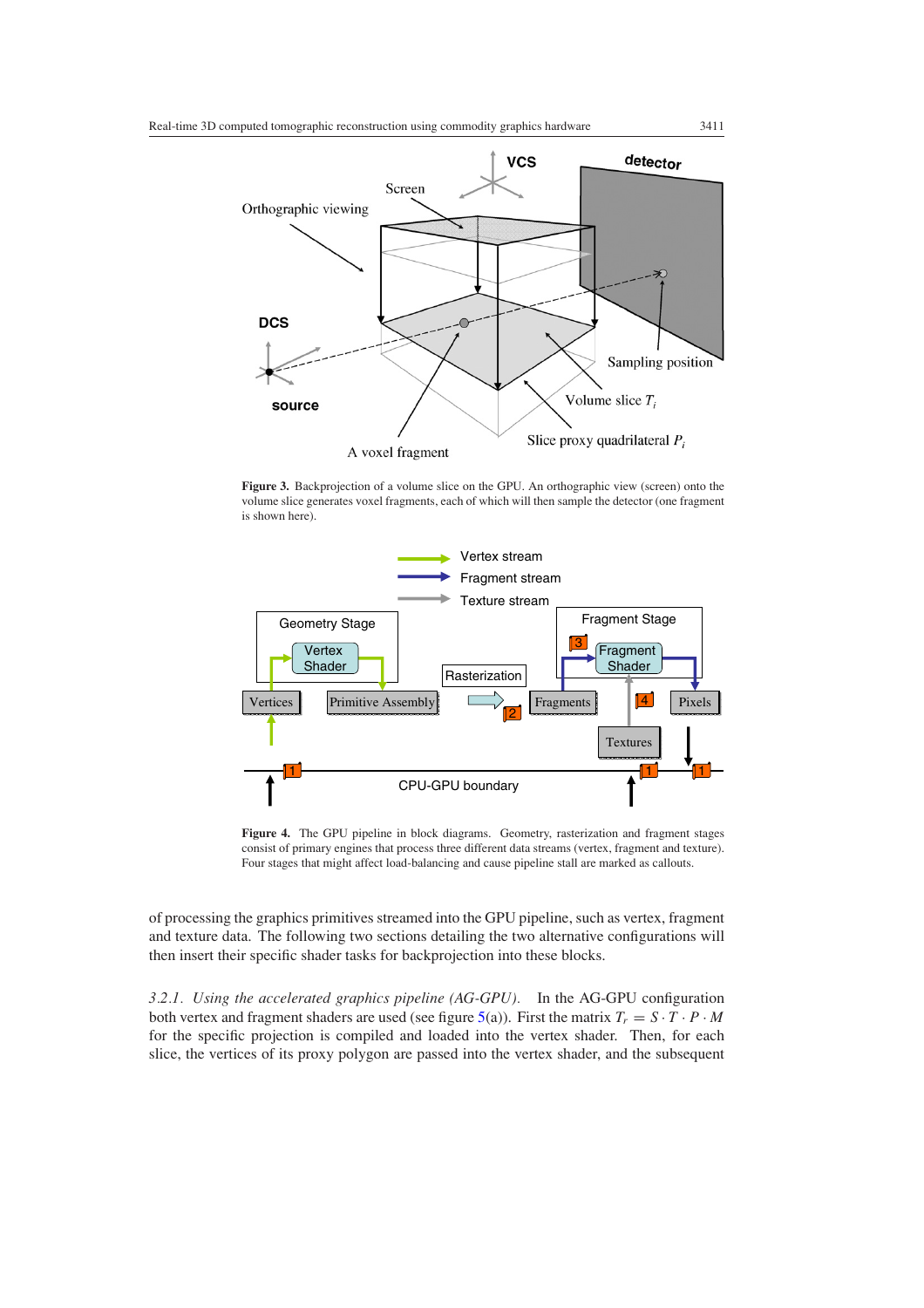<span id="page-6-0"></span>

Figure 3. Backprojection of a volume slice on the GPU. An orthographic view (screen) onto the volume slice generates voxel fragments, each of which will then sample the detector (one fragment is shown here).



Figure 4. The GPU pipeline in block diagrams. Geometry, rasterization and fragment stages consist of primary engines that process three different data streams (vertex, fragment and texture). Four stages that might affect load-balancing and cause pipeline stall are marked as callouts.

of processing the graphics primitives streamed into the GPU pipeline, such as vertex, fragment and texture data. The following two sections detailing the two alternative configurations will then insert their specific shader tasks for backprojection into these blocks.

*3.2.1. Using the accelerated graphics pipeline (AG-GPU).* In the AG-GPU configuration both vertex and fragment shaders are used (see figure [5\(](#page-7-0)a)). First the matrix  $T_r = S \cdot T \cdot P \cdot M$ for the specific projection is compiled and loaded into the vertex shader. Then, for each slice, the vertices of its proxy polygon are passed into the vertex shader, and the subsequent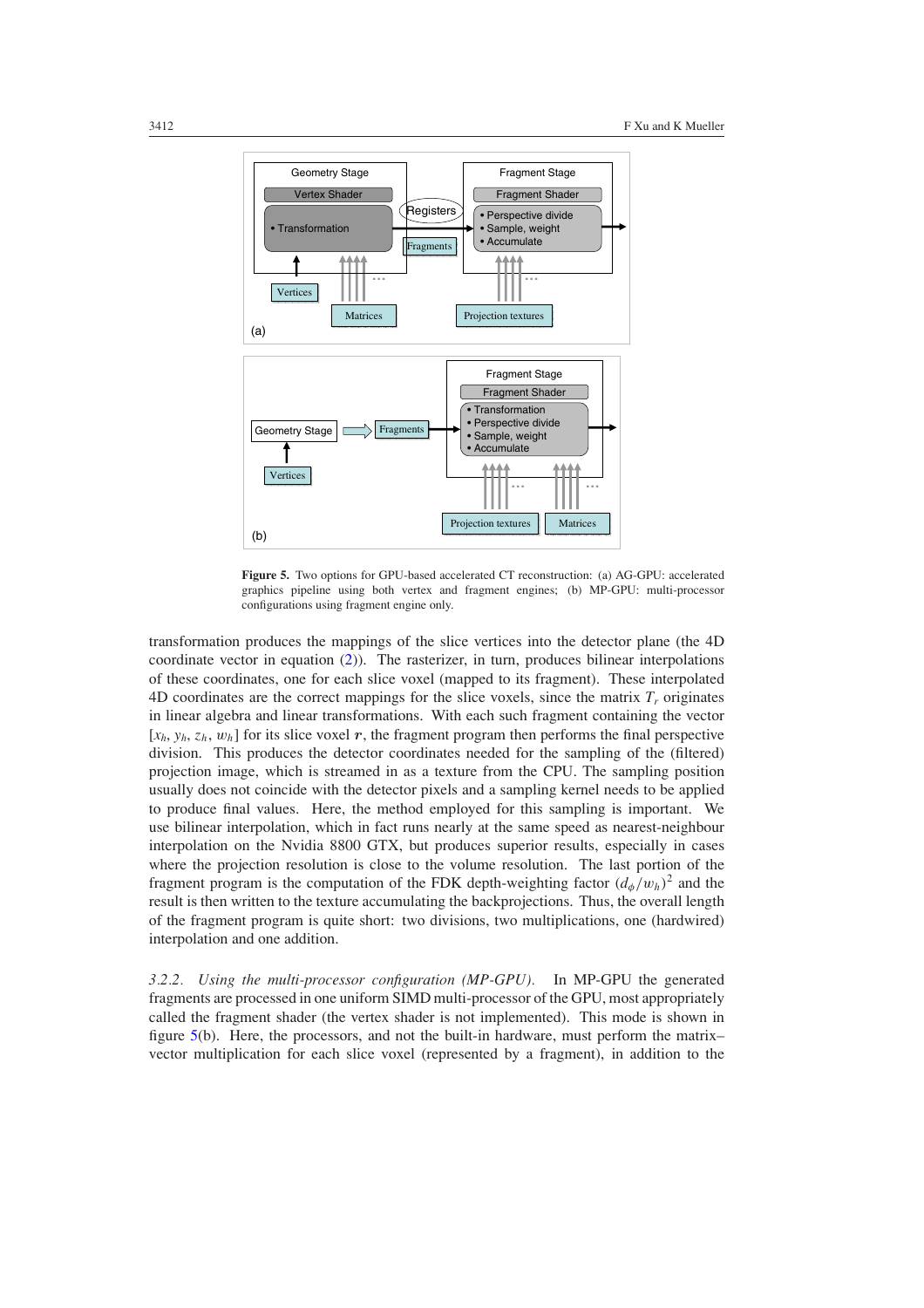<span id="page-7-0"></span>

**Figure 5.** Two options for GPU-based accelerated CT reconstruction: (a) AG-GPU: accelerated graphics pipeline using both vertex and fragment engines; (b) MP-GPU: multi-processor configurations using fragment engine only.

transformation produces the mappings of the slice vertices into the detector plane (the 4D coordinate vector in equation  $(2)$ ). The rasterizer, in turn, produces bilinear interpolations of these coordinates, one for each slice voxel (mapped to its fragment). These interpolated  $4D$  coordinates are the correct mappings for the slice voxels, since the matrix  $T_r$  originates in linear algebra and linear transformations. With each such fragment containing the vector  $[x_h, y_h, z_h, w_h]$  for its slice voxel r, the fragment program then performs the final perspective division. This produces the detector coordinates needed for the sampling of the (filtered) projection image, which is streamed in as a texture from the CPU. The sampling position usually does not coincide with the detector pixels and a sampling kernel needs to be applied to produce final values. Here, the method employed for this sampling is important. We use bilinear interpolation, which in fact runs nearly at the same speed as nearest-neighbour interpolation on the Nvidia 8800 GTX, but produces superior results, especially in cases where the projection resolution is close to the volume resolution. The last portion of the fragment program is the computation of the FDK depth-weighting factor  $(d_{\phi}/w_h)^2$  and the result is then written to the texture accumulating the backprojections. Thus, the overall length of the fragment program is quite short: two divisions, two multiplications, one (hardwired) interpolation and one addition.

*3.2.2. Using the multi-processor configuration (MP-GPU).* In MP-GPU the generated fragments are processed in one uniform SIMD multi-processor of the GPU, most appropriately called the fragment shader (the vertex shader is not implemented). This mode is shown in figure 5(b). Here, the processors, and not the built-in hardware, must perform the matrix– vector multiplication for each slice voxel (represented by a fragment), in addition to the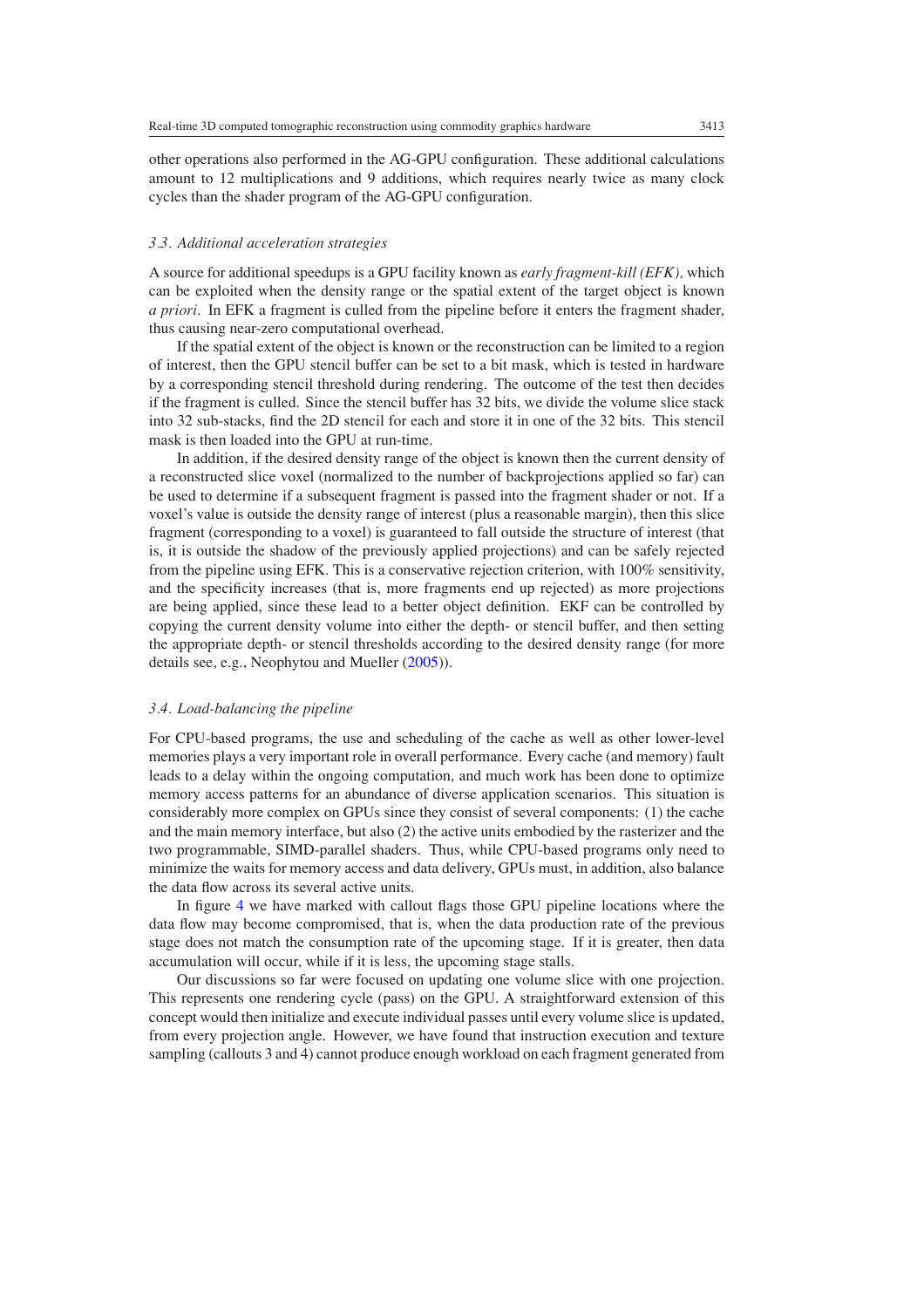other operations also performed in the AG-GPU configuration. These additional calculations amount to 12 multiplications and 9 additions, which requires nearly twice as many clock cycles than the shader program of the AG-GPU configuration.

#### *3.3. Additional acceleration strategies*

A source for additional speedups is a GPU facility known as *early fragment-kill (EFK),* which can be exploited when the density range or the spatial extent of the target object is known *a priori*. In EFK a fragment is culled from the pipeline before it enters the fragment shader, thus causing near-zero computational overhead.

If the spatial extent of the object is known or the reconstruction can be limited to a region of interest, then the GPU stencil buffer can be set to a bit mask, which is tested in hardware by a corresponding stencil threshold during rendering. The outcome of the test then decides if the fragment is culled. Since the stencil buffer has 32 bits, we divide the volume slice stack into 32 sub-stacks, find the 2D stencil for each and store it in one of the 32 bits. This stencil mask is then loaded into the GPU at run-time.

In addition, if the desired density range of the object is known then the current density of a reconstructed slice voxel (normalized to the number of backprojections applied so far) can be used to determine if a subsequent fragment is passed into the fragment shader or not. If a voxel's value is outside the density range of interest (plus a reasonable margin), then this slice fragment (corresponding to a voxel) is guaranteed to fall outside the structure of interest (that is, it is outside the shadow of the previously applied projections) and can be safely rejected from the pipeline using EFK. This is a conservative rejection criterion, with 100% sensitivity, and the specificity increases (that is, more fragments end up rejected) as more projections are being applied, since these lead to a better object definition. EKF can be controlled by copying the current density volume into either the depth- or stencil buffer, and then setting the appropriate depth- or stencil thresholds according to the desired density range (for more details see, e.g., Neophytou and Mueller [\(2005](#page-14-0))).

## *3.4. Load-balancing the pipeline*

For CPU-based programs, the use and scheduling of the cache as well as other lower-level memories plays a very important role in overall performance. Every cache (and memory) fault leads to a delay within the ongoing computation, and much work has been done to optimize memory access patterns for an abundance of diverse application scenarios. This situation is considerably more complex on GPUs since they consist of several components: (1) the cache and the main memory interface, but also (2) the active units embodied by the rasterizer and the two programmable, SIMD-parallel shaders. Thus, while CPU-based programs only need to minimize the waits for memory access and data delivery, GPUs must, in addition, also balance the data flow across its several active units.

In figure [4](#page-6-0) we have marked with callout flags those GPU pipeline locations where the data flow may become compromised, that is, when the data production rate of the previous stage does not match the consumption rate of the upcoming stage. If it is greater, then data accumulation will occur, while if it is less, the upcoming stage stalls.

Our discussions so far were focused on updating one volume slice with one projection. This represents one rendering cycle (pass) on the GPU. A straightforward extension of this concept would then initialize and execute individual passes until every volume slice is updated, from every projection angle. However, we have found that instruction execution and texture sampling (callouts 3 and 4) cannot produce enough workload on each fragment generated from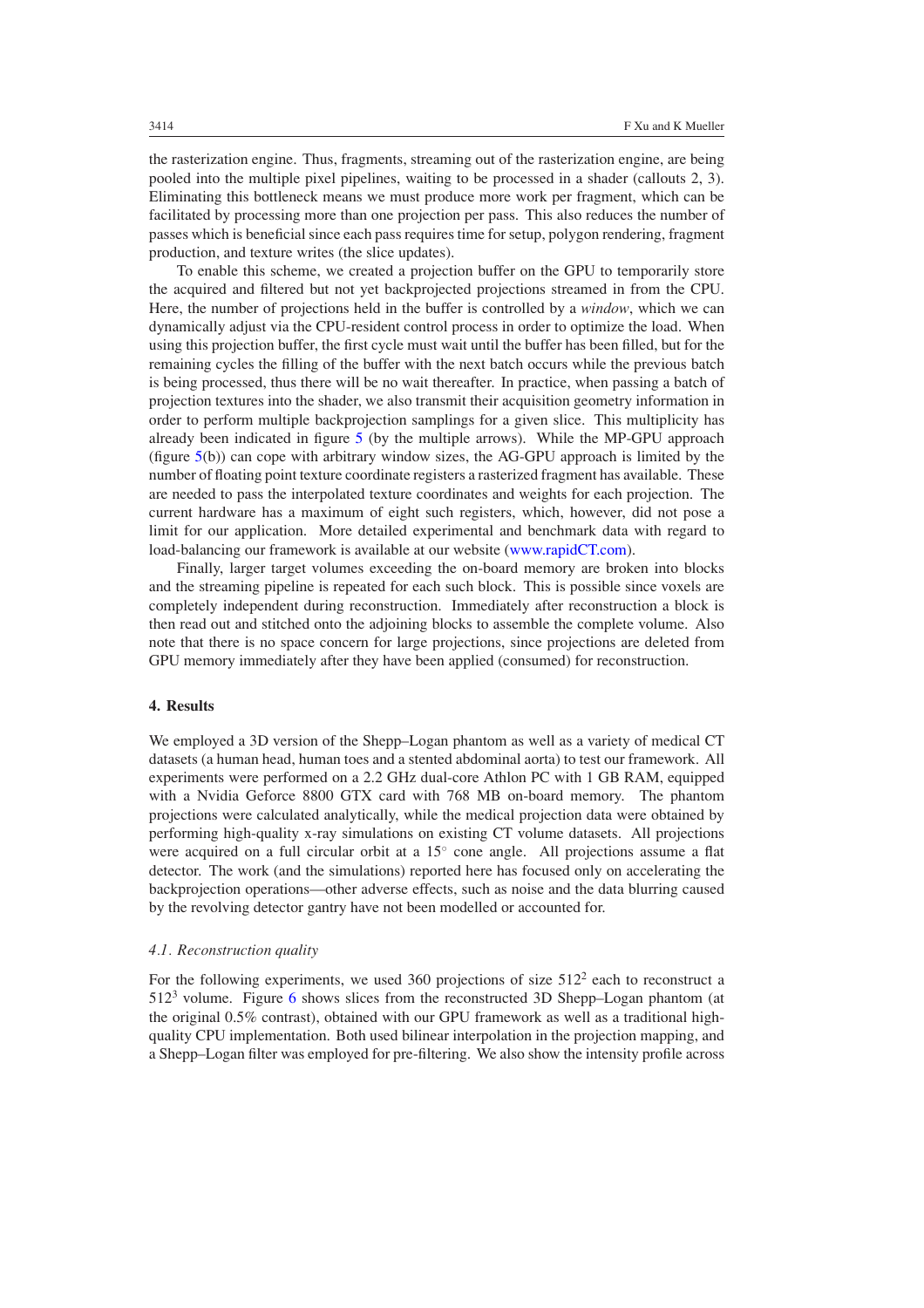the rasterization engine. Thus, fragments, streaming out of the rasterization engine, are being pooled into the multiple pixel pipelines, waiting to be processed in a shader (callouts 2, 3). Eliminating this bottleneck means we must produce more work per fragment, which can be facilitated by processing more than one projection per pass. This also reduces the number of passes which is beneficial since each pass requires time for setup, polygon rendering, fragment production, and texture writes (the slice updates).

To enable this scheme, we created a projection buffer on the GPU to temporarily store the acquired and filtered but not yet backprojected projections streamed in from the CPU. Here, the number of projections held in the buffer is controlled by a *window*, which we can dynamically adjust via the CPU-resident control process in order to optimize the load. When using this projection buffer, the first cycle must wait until the buffer has been filled, but for the remaining cycles the filling of the buffer with the next batch occurs while the previous batch is being processed, thus there will be no wait thereafter. In practice, when passing a batch of projection textures into the shader, we also transmit their acquisition geometry information in order to perform multiple backprojection samplings for a given slice. This multiplicity has already been indicated in figure [5](#page-7-0) (by the multiple arrows). While the MP-GPU approach (figure [5\(](#page-7-0)b)) can cope with arbitrary window sizes, the AG-GPU approach is limited by the number of floating point texture coordinate registers a rasterized fragment has available. These are needed to pass the interpolated texture coordinates and weights for each projection. The current hardware has a maximum of eight such registers, which, however, did not pose a limit for our application. More detailed experimental and benchmark data with regard to load-balancing our framework is available at our website [\(www.rapidCT.com\)](http://www.rapidCT.com).

Finally, larger target volumes exceeding the on-board memory are broken into blocks and the streaming pipeline is repeated for each such block. This is possible since voxels are completely independent during reconstruction. Immediately after reconstruction a block is then read out and stitched onto the adjoining blocks to assemble the complete volume. Also note that there is no space concern for large projections, since projections are deleted from GPU memory immediately after they have been applied (consumed) for reconstruction.

## **4. Results**

We employed a 3D version of the Shepp–Logan phantom as well as a variety of medical CT datasets (a human head, human toes and a stented abdominal aorta) to test our framework. All experiments were performed on a 2.2 GHz dual-core Athlon PC with 1 GB RAM, equipped with a Nvidia Geforce 8800 GTX card with 768 MB on-board memory. The phantom projections were calculated analytically, while the medical projection data were obtained by performing high-quality x-ray simulations on existing CT volume datasets. All projections were acquired on a full circular orbit at a 15◦ cone angle. All projections assume a flat detector. The work (and the simulations) reported here has focused only on accelerating the backprojection operations—other adverse effects, such as noise and the data blurring caused by the revolving detector gantry have not been modelled or accounted for.

## *4.1. Reconstruction quality*

For the following experiments, we used 360 projections of size  $512^2$  each to reconstruct a 5123 volume. Figure [6](#page-10-0) shows slices from the reconstructed 3D Shepp–Logan phantom (at the original 0.5% contrast), obtained with our GPU framework as well as a traditional highquality CPU implementation. Both used bilinear interpolation in the projection mapping, and a Shepp–Logan filter was employed for pre-filtering. We also show the intensity profile across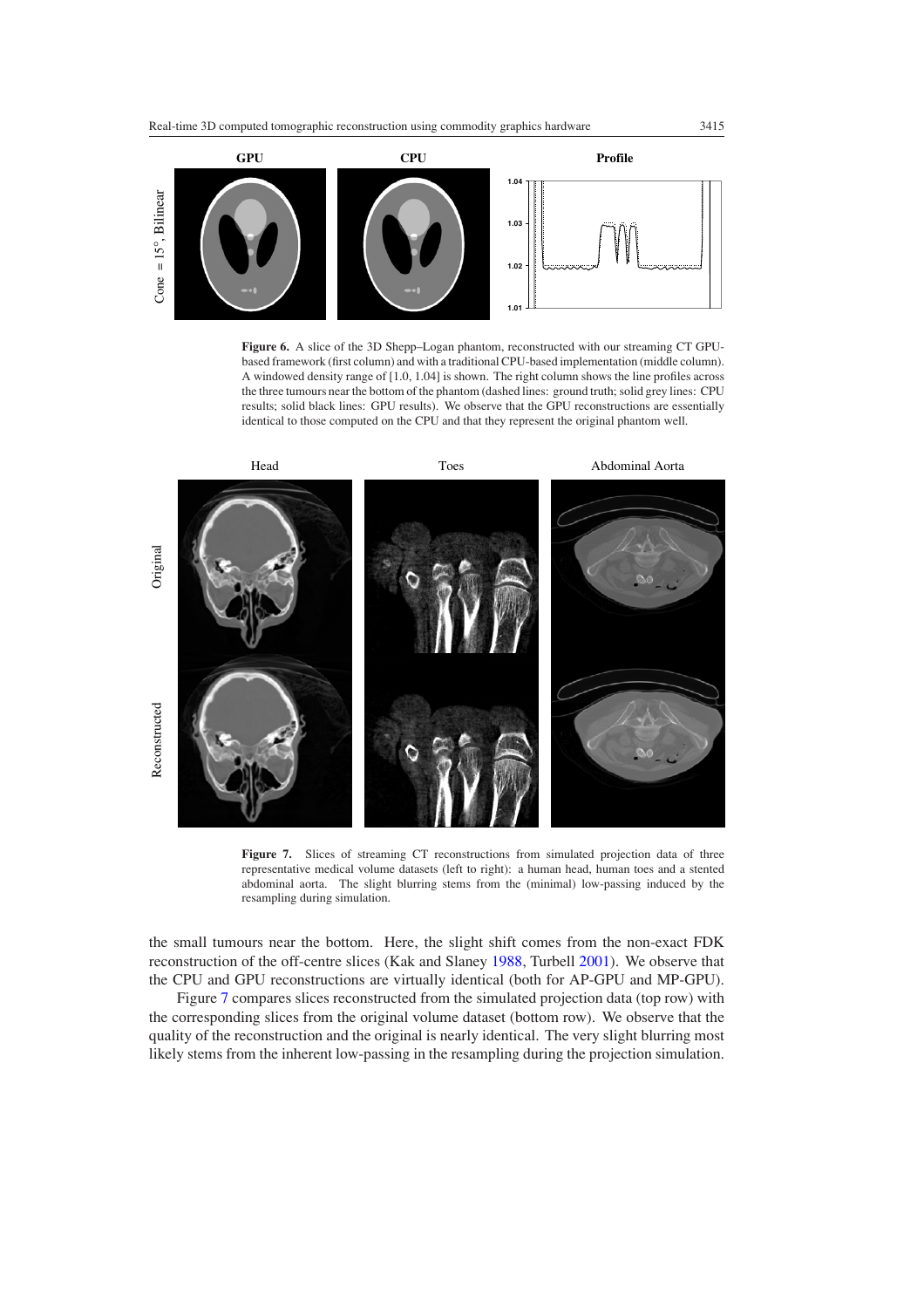<span id="page-10-0"></span>

**Figure 6.** A slice of the 3D Shepp–Logan phantom, reconstructed with our streaming CT GPUbased framework (first column) and with a traditional CPU-based implementation (middle column). A windowed density range of [1.0, 1.04] is shown. The right column shows the line profiles across the three tumours near the bottom of the phantom (dashed lines: ground truth; solid grey lines: CPU results; solid black lines: GPU results). We observe that the GPU reconstructions are essentially identical to those computed on the CPU and that they represent the original phantom well.



Figure 7. Slices of streaming CT reconstructions from simulated projection data of three representative medical volume datasets (left to right): a human head, human toes and a stented abdominal aorta. The slight blurring stems from the (minimal) low-passing induced by the resampling during simulation.

the small tumours near the bottom. Here, the slight shift comes from the non-exact FDK reconstruction of the off-centre slices (Kak and Slaney [1988](#page-13-0), Turbell [2001\)](#page-14-0). We observe that the CPU and GPU reconstructions are virtually identical (both for AP-GPU and MP-GPU).

Figure 7 compares slices reconstructed from the simulated projection data (top row) with the corresponding slices from the original volume dataset (bottom row). We observe that the quality of the reconstruction and the original is nearly identical. The very slight blurring most likely stems from the inherent low-passing in the resampling during the projection simulation.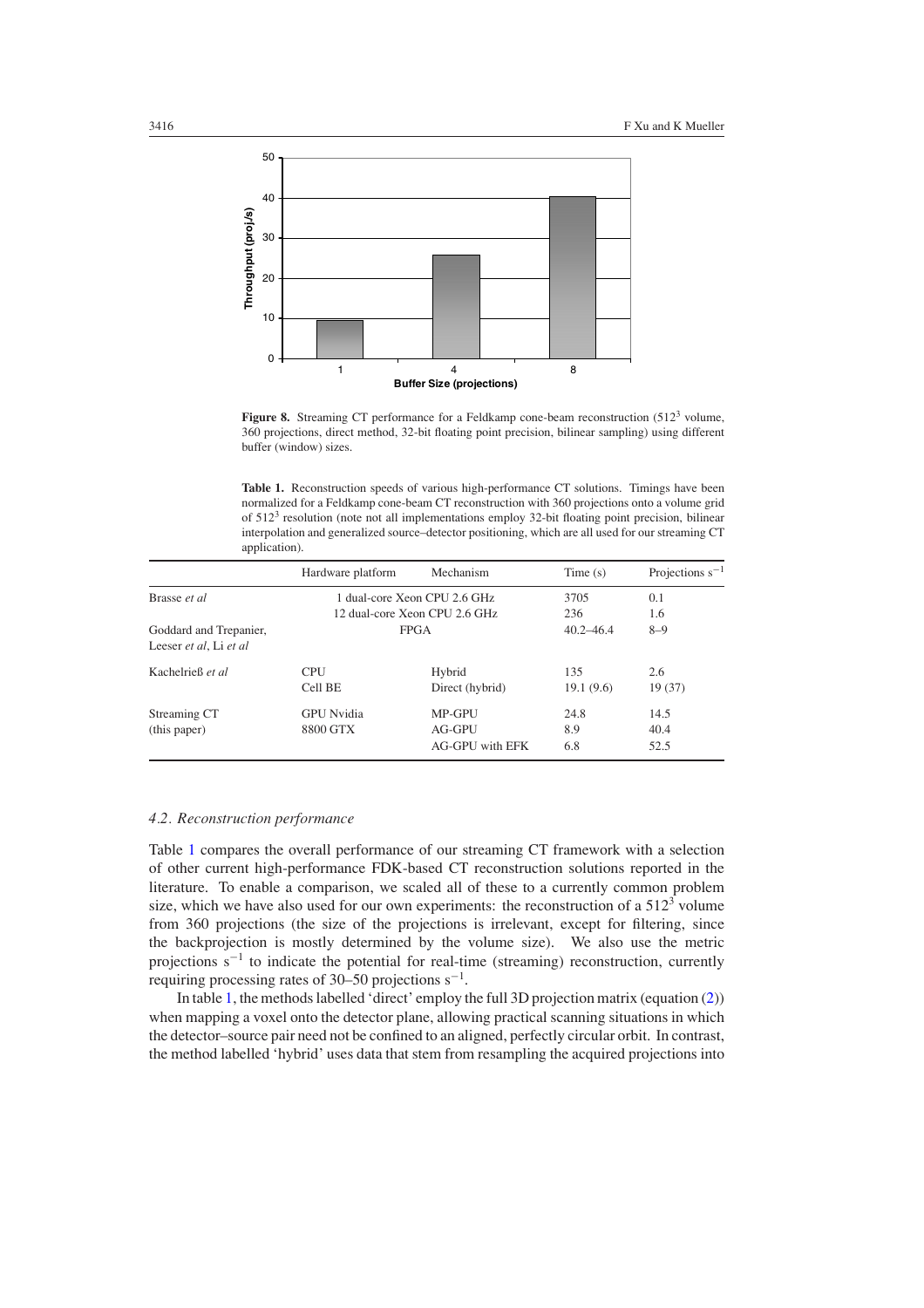<span id="page-11-0"></span>

Figure 8. Streaming CT performance for a Feldkamp cone-beam reconstruction (512<sup>3</sup> volume, 360 projections, direct method, 32-bit floating point precision, bilinear sampling) using different buffer (window) sizes.

Table 1. Reconstruction speeds of various high-performance CT solutions. Timings have been normalized for a Feldkamp cone-beam CT reconstruction with 360 projections onto a volume grid of 512<sup>3</sup> resolution (note not all implementations employ 32-bit floating point precision, bilinear interpolation and generalized source–detector positioning, which are all used for our streaming CT application).

|                                                  | Hardware platform                            | Mechanism                           | Time $(s)$           | Projections $s^{-1}$ |
|--------------------------------------------------|----------------------------------------------|-------------------------------------|----------------------|----------------------|
| Brasse et al.                                    | 1 dual-core Xeon CPU 2.6 GHz                 |                                     | 3705                 | 0.1                  |
| Goddard and Trepanier,<br>Leeser et al, Li et al | 12 dual-core Xeon CPU 2.6 GHz<br><b>FPGA</b> |                                     | 236<br>$40.2 - 46.4$ | 1.6<br>$8 - 9$       |
| Kachelrieß et al.                                | <b>CPU</b><br>Cell BE                        | Hybrid<br>Direct (hybrid)           | 135<br>19.1(9.6)     | 2.6<br>19(37)        |
| Streaming CT<br>(this paper)                     | <b>GPU</b> Nvidia<br>8800 GTX                | MP-GPU<br>AG-GPU<br>AG-GPU with EFK | 24.8<br>8.9<br>6.8   | 14.5<br>40.4<br>52.5 |

#### *4.2. Reconstruction performance*

Table 1 compares the overall performance of our streaming CT framework with a selection of other current high-performance FDK-based CT reconstruction solutions reported in the literature. To enable a comparison, we scaled all of these to a currently common problem size, which we have also used for our own experiments: the reconstruction of a  $512<sup>3</sup>$  volume from 360 projections (the size of the projections is irrelevant, except for filtering, since the backprojection is mostly determined by the volume size). We also use the metric projections s−<sup>1</sup> to indicate the potential for real-time (streaming) reconstruction, currently requiring processing rates of 30–50 projections s−<sup>1</sup> .

In table 1, the methods labelled 'direct' employ the full 3D projection matrix (equation [\(2\)](#page-5-0)) when mapping a voxel onto the detector plane, allowing practical scanning situations in which the detector–source pair need not be confined to an aligned, perfectly circular orbit. In contrast, the method labelled 'hybrid' uses data that stem from resampling the acquired projections into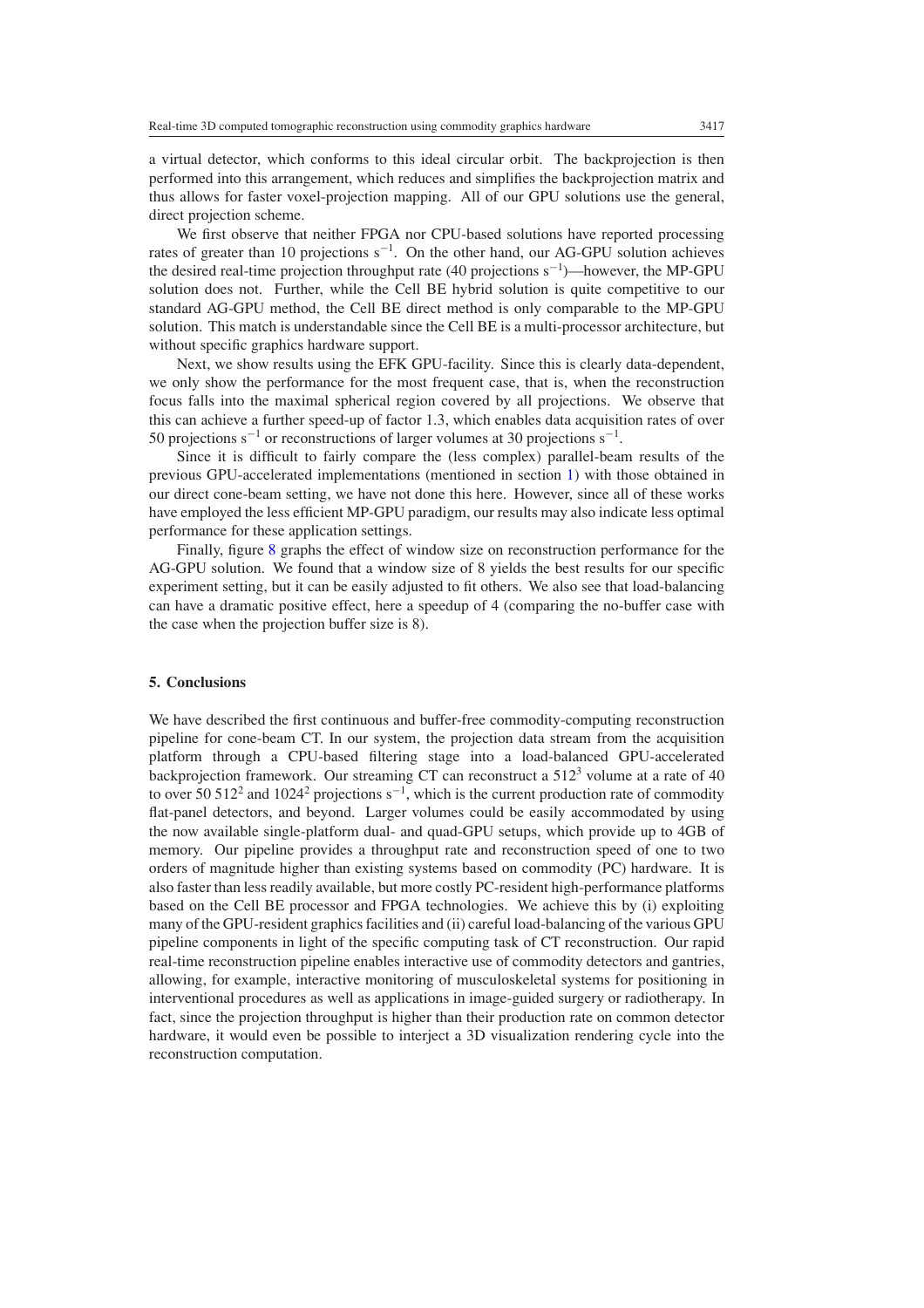a virtual detector, which conforms to this ideal circular orbit. The backprojection is then performed into this arrangement, which reduces and simplifies the backprojection matrix and thus allows for faster voxel-projection mapping. All of our GPU solutions use the general, direct projection scheme.

We first observe that neither FPGA nor CPU-based solutions have reported processing rates of greater than 10 projections s<sup>-1</sup>. On the other hand, our AG-GPU solution achieves the desired real-time projection throughput rate (40 projections s−<sup>1</sup> )—however, the MP-GPU solution does not. Further, while the Cell BE hybrid solution is quite competitive to our standard AG-GPU method, the Cell BE direct method is only comparable to the MP-GPU solution. This match is understandable since the Cell BE is a multi-processor architecture, but without specific graphics hardware support.

Next, we show results using the EFK GPU-facility. Since this is clearly data-dependent, we only show the performance for the most frequent case, that is, when the reconstruction focus falls into the maximal spherical region covered by all projections. We observe that this can achieve a further speed-up of factor 1.3, which enables data acquisition rates of over 50 projections s<sup>-1</sup> or reconstructions of larger volumes at 30 projections s<sup>-1</sup>.

Since it is difficult to fairly compare the (less complex) parallel-beam results of the previous GPU-accelerated implementations (mentioned in section [1\)](#page-0-0) with those obtained in our direct cone-beam setting, we have not done this here. However, since all of these works have employed the less efficient MP-GPU paradigm, our results may also indicate less optimal performance for these application settings.

Finally, figure [8](#page-11-0) graphs the effect of window size on reconstruction performance for the AG-GPU solution. We found that a window size of 8 yields the best results for our specific experiment setting, but it can be easily adjusted to fit others. We also see that load-balancing can have a dramatic positive effect, here a speedup of 4 (comparing the no-buffer case with the case when the projection buffer size is 8).

## **5. Conclusions**

We have described the first continuous and buffer-free commodity-computing reconstruction pipeline for cone-beam CT. In our system, the projection data stream from the acquisition platform through a CPU-based filtering stage into a load-balanced GPU-accelerated backprojection framework. Our streaming CT can reconstruct a  $512<sup>3</sup>$  volume at a rate of 40 to over 50 512<sup>2</sup> and 1024<sup>2</sup> projections s<sup>-1</sup>, which is the current production rate of commodity flat-panel detectors, and beyond. Larger volumes could be easily accommodated by using the now available single-platform dual- and quad-GPU setups, which provide up to 4GB of memory. Our pipeline provides a throughput rate and reconstruction speed of one to two orders of magnitude higher than existing systems based on commodity (PC) hardware. It is also faster than less readily available, but more costly PC-resident high-performance platforms based on the Cell BE processor and FPGA technologies. We achieve this by (i) exploiting many of the GPU-resident graphics facilities and (ii) careful load-balancing of the various GPU pipeline components in light of the specific computing task of CT reconstruction. Our rapid real-time reconstruction pipeline enables interactive use of commodity detectors and gantries, allowing, for example, interactive monitoring of musculoskeletal systems for positioning in interventional procedures as well as applications in image-guided surgery or radiotherapy. In fact, since the projection throughput is higher than their production rate on common detector hardware, it would even be possible to interject a 3D visualization rendering cycle into the reconstruction computation.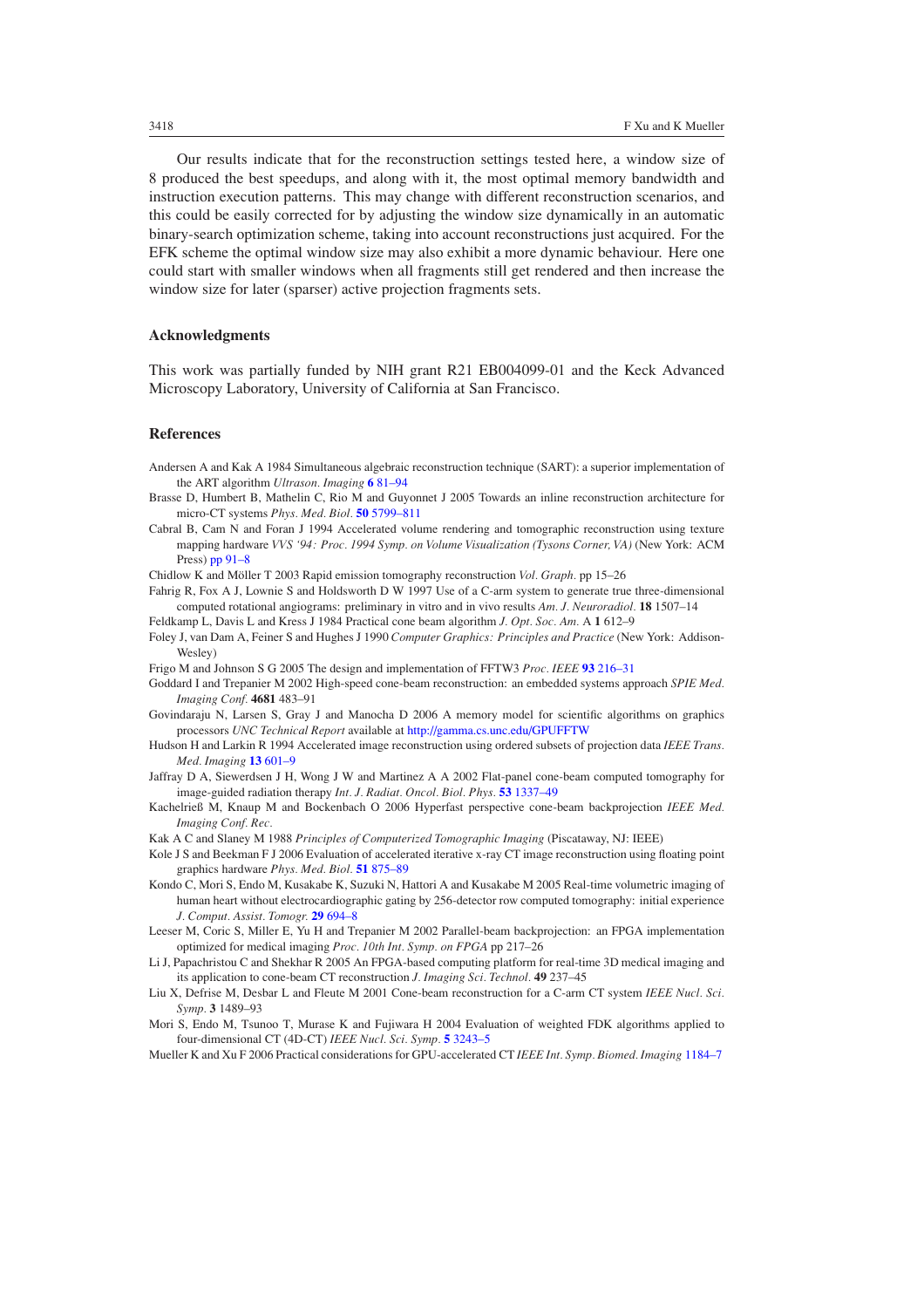<span id="page-13-0"></span>Our results indicate that for the reconstruction settings tested here, a window size of 8 produced the best speedups, and along with it, the most optimal memory bandwidth and instruction execution patterns. This may change with different reconstruction scenarios, and this could be easily corrected for by adjusting the window size dynamically in an automatic binary-search optimization scheme, taking into account reconstructions just acquired. For the EFK scheme the optimal window size may also exhibit a more dynamic behaviour. Here one could start with smaller windows when all fragments still get rendered and then increase the window size for later (sparser) active projection fragments sets.

## **Acknowledgments**

This work was partially funded by NIH grant R21 EB004099-01 and the Keck Advanced Microscopy Laboratory, University of California at San Francisco.

# **References**

- Andersen A and Kak A 1984 Simultaneous algebraic reconstruction technique (SART): a superior implementation of the ART algorithm *Ultrason. Imaging* **6** [81–94](http://dx.doi.org/10.1016/0161-7346(84)90008-7)
- Brasse D, Humbert B, Mathelin C, Rio M and Guyonnet J 2005 Towards an inline reconstruction architecture for micro-CT systems *Phys. Med. Biol.* **50** [5799–811](http://dx.doi.org/10.1088/0031-9155/50/24/003)
- Cabral B, Cam N and Foran J 1994 Accelerated volume rendering and tomographic reconstruction using texture mapping hardware *VVS '94: Proc. 1994 Symp. on Volume Visualization (Tysons Corner, VA)* (New York: ACM Press) [pp 91–8](http://doi.acm.org/10.1145/197938.197972)
- Chidlow K and Möller T 2003 Rapid emission tomography reconstruction *Vol. Graph.* pp 15–26
- Fahrig R, Fox A J, Lownie S and Holdsworth D W 1997 Use of a C-arm system to generate true three-dimensional computed rotational angiograms: preliminary in vitro and in vivo results *Am. J. Neuroradiol.* **18** 1507–14
- Feldkamp L, Davis L and Kress J 1984 Practical cone beam algorithm *J. Opt. Soc. Am.* A **1** 612–9
- Foley J, van Dam A, Feiner S and Hughes J 1990 *Computer Graphics: Principles and Practice* (New York: Addison-Wesley)
- Frigo M and Johnson S G 2005 The design and implementation of FFTW3 *Proc. IEEE* **93** [216–31](http://dx.doi.org/10.1109/JPROC.2004.840301)
- Goddard I and Trepanier M 2002 High-speed cone-beam reconstruction: an embedded systems approach *SPIE Med. Imaging Conf.* **4681** 483–91
- Govindaraju N, Larsen S, Gray J and Manocha D 2006 A memory model for scientific algorithms on graphics processors *UNC Technical Report* available at <http://gamma.cs.unc.edu/GPUFFTW>
- Hudson H and Larkin R 1994 Accelerated image reconstruction using ordered subsets of projection data *IEEE Trans. Med. Imaging* **13** [601–9](http://dx.doi.org/10.1109/42.363108)
- Jaffray D A, Siewerdsen J H, Wong J W and Martinez A A 2002 Flat-panel cone-beam computed tomography for image-guided radiation therapy *Int. J. Radiat. Oncol. Biol. Phys.* **53** [1337–49](http://dx.doi.org/10.1016/S0360-3016(02)02884-5)
- Kachelrieß M, Knaup M and Bockenbach O 2006 Hyperfast perspective cone-beam backprojection *IEEE Med. Imaging Conf. Rec.*
- Kak A C and Slaney M 1988 *Principles of Computerized Tomographic Imaging* (Piscataway, NJ: IEEE)
- Kole J S and Beekman F J 2006 Evaluation of accelerated iterative x-ray CT image reconstruction using floating point graphics hardware *Phys. Med. Biol.* **51** [875–89](http://dx.doi.org/10.1088/0031-9155/51/4/008)
- Kondo C, Mori S, Endo M, Kusakabe K, Suzuki N, Hattori A and Kusakabe M 2005 Real-time volumetric imaging of human heart without electrocardiographic gating by 256-detector row computed tomography: initial experience *J. Comput. Assist. Tomogr.* **29** [694–8](http://dx.doi.org/10.1097/01.rct.0000173844.89988.37)
- Leeser M, Coric S, Miller E, Yu H and Trepanier M 2002 Parallel-beam backprojection: an FPGA implementation optimized for medical imaging *Proc. 10th Int. Symp. on FPGA* pp 217–26
- Li J, Papachristou C and Shekhar R 2005 An FPGA-based computing platform for real-time 3D medical imaging and its application to cone-beam CT reconstruction *J. Imaging Sci. Technol.* **49** 237–45
- Liu X, Defrise M, Desbar L and Fleute M 2001 Cone-beam reconstruction for a C-arm CT system *IEEE Nucl. Sci. Symp.* **3** 1489–93
- Mori S, Endo M, Tsunoo T, Murase K and Fujiwara H 2004 Evaluation of weighted FDK algorithms applied to four-dimensional CT (4D-CT) *IEEE Nucl. Sci. Symp.* **5** [3243–5](http://dx.doi.org/10.1109/NSSMIC.2004.1466373)
- Mueller K and Xu F 2006 Practical considerations for GPU-accelerated CT *IEEE Int. Symp. Biomed. Imaging* [1184–7](http://dx.doi.org/10.1109/ISBI.2006.1625135)